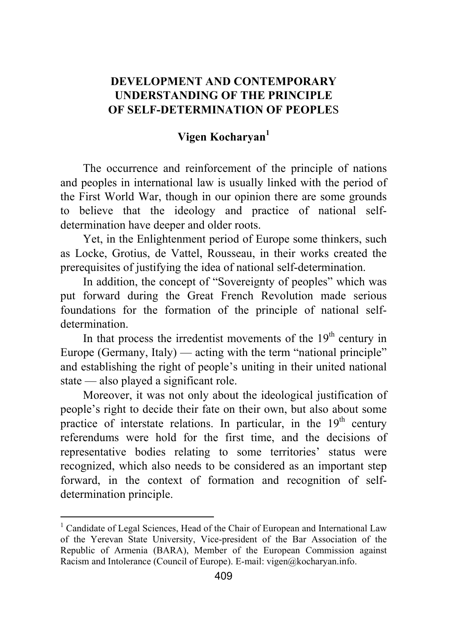## **DEVELOPMENT AND CONTEMPORARY UNDERSTANDING OF THE PRINCIPLE OF SELF-DETERMINATION OF PEOPLE**S

## **Vigen Kocharyan<sup>1</sup>**

The occurrence and reinforcement of the principle of nations and peoples in international law is usually linked with the period of the First World War, though in our opinion there are some grounds to believe that the ideology and practice of national selfdetermination have deeper and older roots.

Yet, in the Enlightenment period of Europe some thinkers, such as Locke, Grotius, de Vattel, Rousseau, in their works created the prerequisites of justifying the idea of national self-determination.

In addition, the concept of "Sovereignty of peoples" which was put forward during the Great French Revolution made serious foundations for the formation of the principle of national selfdetermination.

In that process the irredentist movements of the  $19<sup>th</sup>$  century in Europe (Germany, Italy) — acting with the term "national principle" and establishing the right of people's uniting in their united national state — also played a significant role.

Moreover, it was not only about the ideological justification of people's right to decide their fate on their own, but also about some practice of interstate relations. In particular, in the  $19<sup>th</sup>$  century referendums were hold for the first time, and the decisions of representative bodies relating to some territories' status were recognized, which also needs to be considered as an important step forward, in the context of formation and recognition of selfdetermination principle.

<sup>&</sup>lt;sup>1</sup> Candidate of Legal Sciences, Head of the Chair of European and International Law of the Yerevan State University, Vice-president of the Bar Association of the Republic of Armenia (BARA), Member of the European Commission against Racism and Intolerance (Council of Europe). E-mail: vigen@kocharyan.info.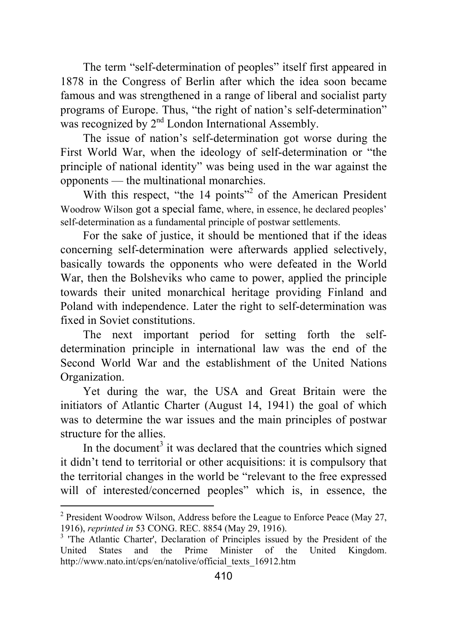The term "self-determination of peoples" itself first appeared in 1878 in the Congress of Berlin after which the idea soon became famous and was strengthened in a range of liberal and socialist party programs of Europe. Thus, "the right of nation's self-determination" was recognized by  $2<sup>nd</sup>$  London International Assembly.

The issue of nation's self-determination got worse during the First World War, when the ideology of self-determination or "the principle of national identity" was being used in the war against the opponents — the multinational monarchies.

With this respect, "the 14 points"<sup>2</sup> of the American President Woodrow Wilson got a special fame, where, in essence, he declared peoples' self-determination as a fundamental principle of postwar settlements.

For the sake of justice, it should be mentioned that if the ideas concerning self-determination were afterwards applied selectively, basically towards the opponents who were defeated in the World War, then the Bolsheviks who came to power, applied the principle towards their united monarchical heritage providing Finland and Poland with independence. Later the right to self-determination was fixed in Soviet constitutions.

The next important period for setting forth the selfdetermination principle in international law was the end of the Second World War and the establishment of the United Nations Organization.

Yet during the war, the USA and Great Britain were the initiators of Atlantic Charter (August 14, 1941) the goal of which was to determine the war issues and the main principles of postwar structure for the allies.

In the document<sup>3</sup> it was declared that the countries which signed it didn't tend to territorial or other acquisitions: it is compulsory that the territorial changes in the world be "relevant to the free expressed will of interested/concerned peoples" which is, in essence, the

 2 President Woodrow Wilson, Address before the League to Enforce Peace (May 27, 1916), *reprinted in* 53 CONG. REC. 8854 (May 29, 1916). <sup>3</sup>

<sup>&</sup>lt;sup>3</sup> 'The Atlantic Charter', Declaration of Principles issued by the President of the United States and the Prime Minister of the United Kingdom. http://www.nato.int/cps/en/natolive/official\_texts\_16912.htm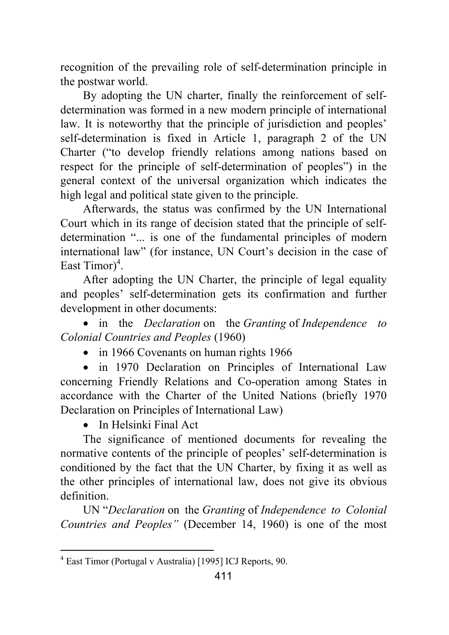recognition of the prevailing role of self-determination principle in the postwar world.

By adopting the UN charter, finally the reinforcement of selfdetermination was formed in a new modern principle of international law. It is noteworthy that the principle of jurisdiction and peoples' self-determination is fixed in Article 1, paragraph 2 of the UN Charter ("to develop friendly relations among nations based on respect for the principle of self-determination of peoples") in the general context of the universal organization which indicates the high legal and political state given to the principle.

Afterwards, the status was confirmed by the UN International Court which in its range of decision stated that the principle of selfdetermination "... is one of the fundamental principles of modern international law" (for instance, UN Court's decision in the case of East Timor $)^4$ .

After adopting the UN Charter, the principle of legal equality and peoples' self-determination gets its confirmation and further development in other documents:

• in the *Declaration* on the *Granting* of *Independence to Colonial Countries and Peoples* (1960)

• in 1966 Covenants on human rights 1966

• in 1970 Declaration on Principles of International Law concerning Friendly Relations and Co-operation among States in accordance with the Charter of the United Nations (briefly 1970 Declaration on Principles of International Law)

• In Helsinki Final Act

The significance of mentioned documents for revealing the normative contents of the principle of peoples' self-determination is conditioned by the fact that the UN Charter, by fixing it as well as the other principles of international law, does not give its obvious definition.

UN "*Declaration* on the *Granting* of *Independence to Colonial Countries and Peoples"* (December 14, 1960) is one of the most

 4 East Timor (Portugal v Australia) [1995] ICJ Reports, 90.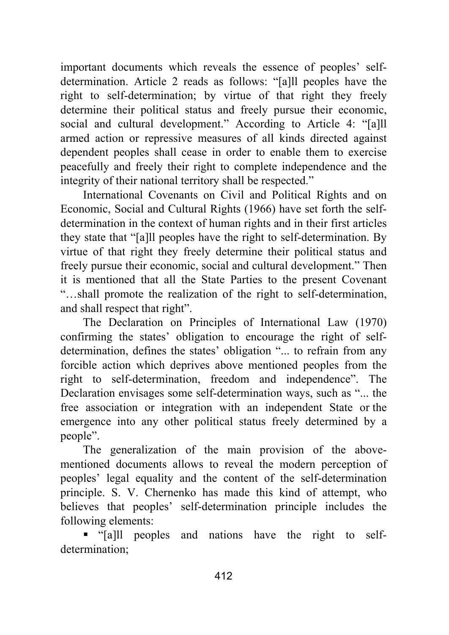important documents which reveals the essence of peoples' selfdetermination. Article 2 reads as follows: "[a]ll peoples have the right to self-determination; by virtue of that right they freely determine their political status and freely pursue their economic, social and cultural development." According to Article 4: "[a]ll armed action or repressive measures of all kinds directed against dependent peoples shall cease in order to enable them to exercise peacefully and freely their right to complete independence and the integrity of their national territory shall be respected."

International Covenants on Civil and Political Rights and on Economic, Social and Cultural Rights (1966) have set forth the selfdetermination in the context of human rights and in their first articles they state that "[a]ll peoples have the right to self-determination. By virtue of that right they freely determine their political status and freely pursue their economic, social and cultural development." Then it is mentioned that all the State Parties to the present Covenant "…shall promote the realization of the right to self-determination, and shall respect that right".

The Declaration on Principles of International Law (1970) confirming the states' obligation to encourage the right of selfdetermination, defines the states' obligation "... to refrain from any forcible action which deprives above mentioned peoples from the right to self-determination, freedom and independence". The Declaration envisages some self-determination ways, such as "... the free association or integration with an independent State or the emergence into any other political status freely determined by a people".

The generalization of the main provision of the abovementioned documents allows to reveal the modern perception of peoples' legal equality and the content of the self-determination principle. S. V. Chernenko has made this kind of attempt, who believes that peoples' self-determination principle includes the following elements:

 "[a]ll peoples and nations have the right to selfdetermination;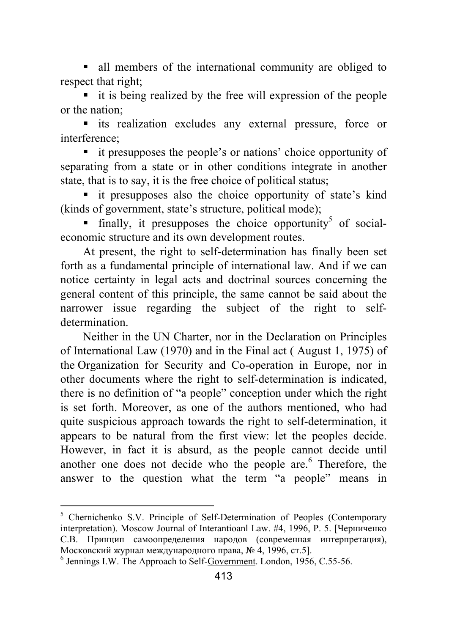all members of the international community are obliged to respect that right;

 it is being realized by the free will expression of the people or the nation;

 its realization excludes any external pressure, force or interference;

 it presupposes the people's or nations' choice opportunity of separating from a state or in other conditions integrate in another state, that is to say, it is the free choice of political status;

 it presupposes also the choice opportunity of state's kind (kinds of government, state's structure, political mode);

 $\blacksquare$  finally, it presupposes the choice opportunity<sup>5</sup> of socialeconomic structure and its own development routes.

At present, the right to self-determination has finally been set forth as a fundamental principle of international law. And if we can notice certainty in legal acts and doctrinal sources concerning the general content of this principle, the same cannot be said about the narrower issue regarding the subject of the right to selfdetermination.

Neither in the UN Charter, nor in the Declaration on Principles of International Law (1970) and in the Final act ( August 1, 1975) of the Organization for Security and Co-operation in Europe, nor in other documents where the right to self-determination is indicated, there is no definition of "a people" conception under which the right is set forth. Moreover, as one of the authors mentioned, who had quite suspicious approach towards the right to self-determination, it appears to be natural from the first view: let the peoples decide. However, in fact it is absurd, as the people cannot decide until another one does not decide who the people are.<sup>6</sup> Therefore, the answer to the question what the term "a people" means in

 5 Chernichenko S.V. Principle of Self-Determination of Peoples (Contemporary interpretation). Moscow Journal of Interantioanl Law. #4, 1996, P. 5. [Черниченко С.В. Принцип самоопределения народов (современная интерпретация), Московский журнал международного права, № 4, 1996, ст.5]. <sup>6</sup>

 $<sup>6</sup>$  Jennings I.W. The Approach to Self-Government. London, 1956, C.55-56.</sup>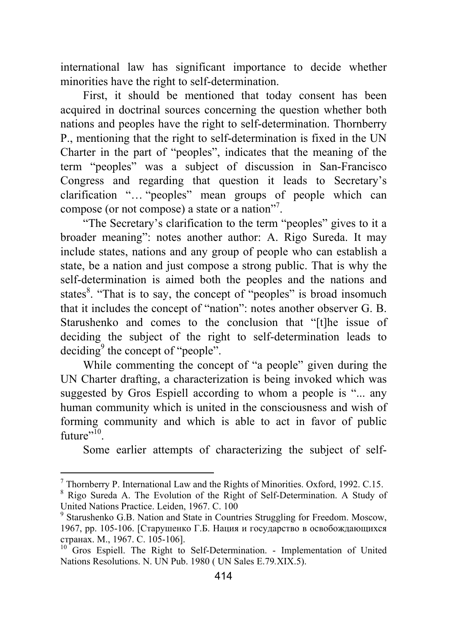international law has significant importance to decide whether minorities have the right to self-determination.

First, it should be mentioned that today consent has been acquired in doctrinal sources concerning the question whether both nations and peoples have the right to self-determination. Thornberry P., mentioning that the right to self-determination is fixed in the UN Charter in the part of "peoples", indicates that the meaning of the term "peoples" was a subject of discussion in San-Francisco Congress and regarding that question it leads to Secretary's clarification "… "peoples" mean groups of people which can compose (or not compose) a state or a nation"<sup>7</sup>.

"The Secretary's clarification to the term "peoples" gives to it a broader meaning": notes another author: A. Rigo Sureda. It may include states, nations and any group of people who can establish a state, be a nation and just compose a strong public. That is why the self-determination is aimed both the peoples and the nations and states<sup>8</sup>. "That is to say, the concept of "peoples" is broad insomuch that it includes the concept of "nation": notes another observer G. B. Starushenko and comes to the conclusion that "[t]he issue of deciding the subject of the right to self-determination leads to deciding<sup>9</sup> the concept of "people".

While commenting the concept of "a people" given during the UN Charter drafting, a characterization is being invoked which was suggested by Gros Espiell according to whom a people is "... any human community which is united in the consciousness and wish of forming community and which is able to act in favor of public  $f$ uture"<sup>10</sup>

Some earlier attempts of characterizing the subject of self-

 $^7$  Thornberry P. International Law and the Rights of Minorities. Oxford, 1992. C.15.

<sup>&</sup>lt;sup>8</sup> Rigo Sureda A. The Evolution of the Right of Self-Determination. A Study of United Nations Practice. Leiden, 1967. C. 100

<sup>&</sup>lt;sup>9</sup> Starushenko G.B. Nation and State in Countries Struggling for Freedom. Moscow, 1967, pp. 105-106. [Старушенко Г.Б. Нация и государство в освобождающихся странах. М., 1967. С. 105-106]. 10 Gros Espiell. The Right to Self-Determination. - Implementation of United

Nations Resolutions. N. UN Pub. 1980 ( UN Sales E.79*.*XIX.5).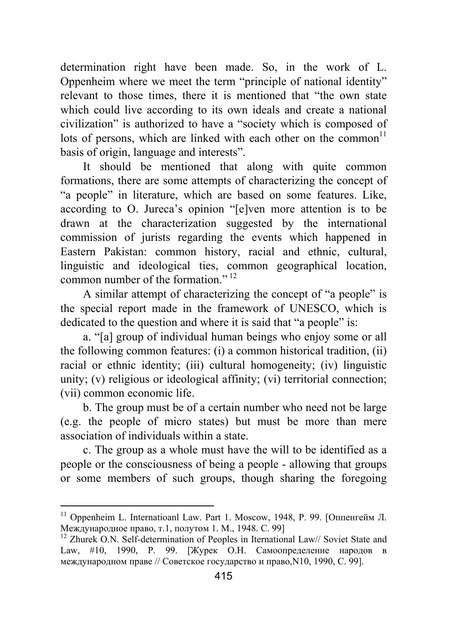determination right have been made. So, in the work of L. Oppenheim where we meet the term "principle of national identity" relevant to those times, there it is mentioned that "the own state which could live according to its own ideals and create a national civilization" is authorized to have a "society which is composed of lots of persons, which are linked with each other on the common<sup>11</sup> basis of origin, language and interests".

It should be mentioned that along with quite common formations, there are some attempts of characterizing the concept of "a people" in literature, which are based on some features. Like, according to O. Jureca's opinion "[e]ven more attention is to be drawn at the characterization suggested by the international commission of jurists regarding the events which happened in Eastern Pakistan: common history, racial and ethnic, cultural, linguistic and ideological ties, common geographical location, common number of the formation."<sup>12</sup>

A similar attempt of characterizing the concept of "a people" is the special report made in the framework of UNESCO, which is dedicated to the question and where it is said that "a people" is:

a. "[a] group of individual human beings who enjoy some or all the following common features: (i) a common historical tradition, (ii) racial or ethnic identity; (iii) cultural homogeneity; (iv) linguistic unity; (v) religious or ideological affinity; (vi) territorial connection; (vii) common economic life.

b. The group must be of a certain number who need not be large (e.g. the people of micro states) but must be more than mere association of individuals within a state.

c. The group as a whole must have the will to be identified as a people or the consciousness of being a people - allowing that groups or some members of such groups, though sharing the foregoing

<sup>&</sup>lt;sup>11</sup> Oppenheim L. Internatioanl Law. Part 1. Moscow, 1948, Р. 99. [Оппенгейм Л. Международное право, т.1, полутом 1. М., 1948. С. 99] 12 Zhurek O.N. Self-determination of Peoples in Iternational Law// Soviet State and

Law, #10, 1990, P. 99. [Журек О.Н. Самоопределение народов в международном праве // Советское государство и право,N10, 1990, С. 99].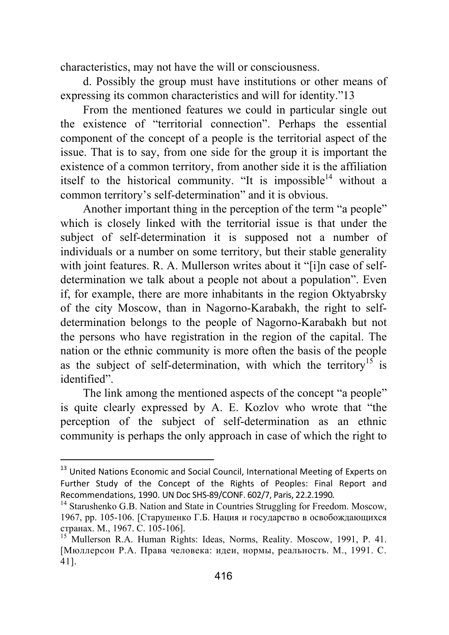characteristics, may not have the will or consciousness.

d. Possibly the group must have institutions or other means of expressing its common characteristics and will for identity."13

From the mentioned features we could in particular single out the existence of "territorial connection". Perhaps the essential component of the concept of a people is the territorial aspect of the issue. That is to say, from one side for the group it is important the existence of a common territory, from another side it is the affiliation itself to the historical community. "It is impossible<sup>14</sup> without a common territory's self-determination" and it is obvious.

Another important thing in the perception of the term "a people" which is closely linked with the territorial issue is that under the subject of self-determination it is supposed not a number of individuals or a number on some territory, but their stable generality with joint features. R. A. Mullerson writes about it "[i]n case of selfdetermination we talk about a people not about a population". Even if, for example, there are more inhabitants in the region Oktyabrsky of the city Moscow, than in Nagorno-Karabakh, the right to selfdetermination belongs to the people of Nagorno-Karabakh but not the persons who have registration in the region of the capital. The nation or the ethnic community is more often the basis of the people as the subject of self-determination, with which the territory<sup>15</sup> is identified".

The link among the mentioned aspects of the concept "a people" is quite clearly expressed by A. E. Kozlov who wrote that "the perception of the subject of self-determination as an ethnic community is perhaps the only approach in case of which the right to

<sup>&</sup>lt;sup>13</sup> United Nations Economic and Social Council, International Meeting of Experts on Further Study of the Concept of the Rights of Peoples: Final Report and Recommendations, 1990. UN Doc SHS-89/CONF. 602/7, Paris, 22.2.1990.<br><sup>14</sup> Starushenko G.B. Nation and State in Countries Struggling for Freedom. Moscow,

<sup>1967,</sup> pp. 105-106. [Старушенко Г.Б. Нация и государство в освобождающихся странах. М., 1967. С. 105-106]. 15 Mullerson R.A. Human Rights: Ideas, Norms, Reality. Moscow, 1991, P. 41.

<sup>[</sup>Мюллерсон Р.А. Права человека: идеи, нормы, реальность. М., 1991. С. 41].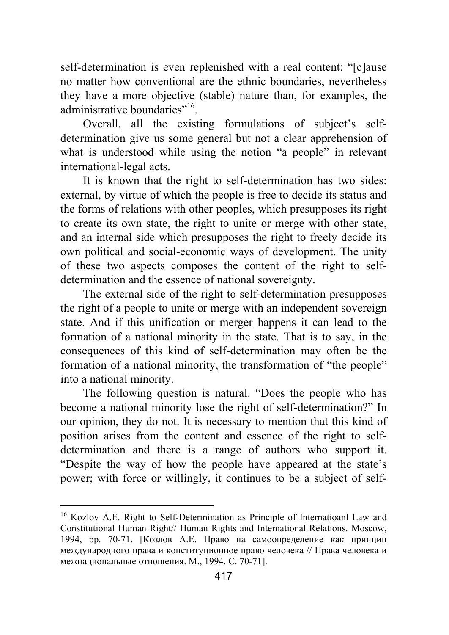self-determination is even replenished with a real content: "[c]ause no matter how conventional are the ethnic boundaries, nevertheless they have a more objective (stable) nature than, for examples, the administrative boundaries"<sup>16</sup>.

Overall, all the existing formulations of subject's selfdetermination give us some general but not a clear apprehension of what is understood while using the notion "a people" in relevant international-legal acts.

It is known that the right to self-determination has two sides: external, by virtue of which the people is free to decide its status and the forms of relations with other peoples, which presupposes its right to create its own state, the right to unite or merge with other state, and an internal side which presupposes the right to freely decide its own political and social-economic ways of development. The unity of these two aspects composes the content of the right to selfdetermination and the essence of national sovereignty.

The external side of the right to self-determination presupposes the right of a people to unite or merge with an independent sovereign state. And if this unification or merger happens it can lead to the formation of a national minority in the state. That is to say, in the consequences of this kind of self-determination may often be the formation of a national minority, the transformation of "the people" into a national minority.

The following question is natural. "Does the people who has become a national minority lose the right of self-determination?" In our opinion, they do not. It is necessary to mention that this kind of position arises from the content and essence of the right to selfdetermination and there is a range of authors who support it. "Despite the way of how the people have appeared at the state's power; with force or willingly, it continues to be a subject of self-

<sup>&</sup>lt;sup>16</sup> Kozlov A.E. Right to Self-Determination as Principle of Internatioanl Law and Constitutional Human Right// Human Rights and International Relations. Moscow, 1994, pp. 70-71. [Козлов А.Е. Право на самоопределение как принцип международного права и конституционное право человека // Права человека и межнациональные отношения. М., 1994. С. 70-71].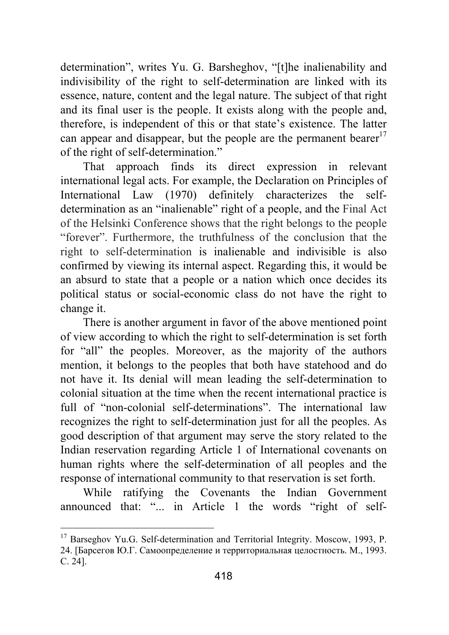determination", writes Yu. G. Barsheghov, "[t]he inalienability and indivisibility of the right to self-determination are linked with its essence, nature, content and the legal nature. The subject of that right and its final user is the people. It exists along with the people and, therefore, is independent of this or that state's existence. The latter can appear and disappear, but the people are the permanent bearer<sup>17</sup> of the right of self-determination."

That approach finds its direct expression in relevant international legal acts. For example, the Declaration on Principles of International Law (1970) definitely characterizes the selfdetermination as an "inalienable" right of a people, and the Final Act of the Helsinki Conference shows that the right belongs to the people "forever". Furthermore, the truthfulness of the conclusion that the right to self-determination is inalienable and indivisible is also confirmed by viewing its internal aspect. Regarding this, it would be an absurd to state that a people or a nation which once decides its political status or social-economic class do not have the right to change it.

There is another argument in favor of the above mentioned point of view according to which the right to self-determination is set forth for "all" the peoples. Moreover, as the majority of the authors mention, it belongs to the peoples that both have statehood and do not have it. Its denial will mean leading the self-determination to colonial situation at the time when the recent international practice is full of "non-colonial self-determinations". The international law recognizes the right to self-determination just for all the peoples. As good description of that argument may serve the story related to the Indian reservation regarding Article 1 of International covenants on human rights where the self-determination of all peoples and the response of international community to that reservation is set forth.

While ratifying the Covenants the Indian Government announced that: "... in Article 1 the words "right of self-

<sup>&</sup>lt;sup>17</sup> Barseghov Yu.G. Self-determination and Territorial Integrity. Moscow, 1993, P. 24. [Барсегов Ю.Г. Самоопределение и территориальная целостность. М., 1993. С. 24].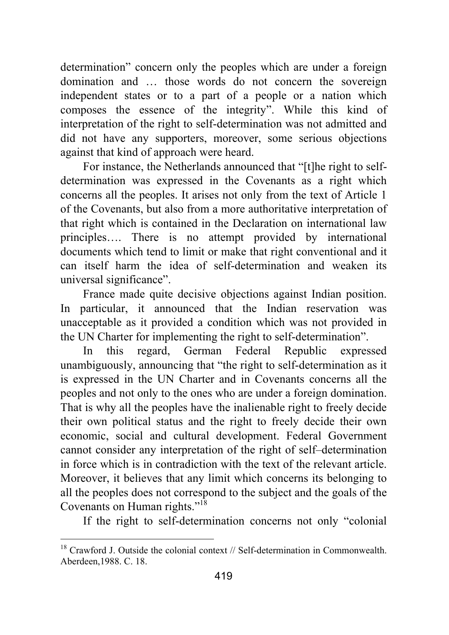determination" concern only the peoples which are under a foreign domination and … those words do not concern the sovereign independent states or to a part of a people or a nation which composes the essence of the integrity". While this kind of interpretation of the right to self-determination was not admitted and did not have any supporters, moreover, some serious objections against that kind of approach were heard.

For instance, the Netherlands announced that "[t]he right to selfdetermination was expressed in the Covenants as a right which concerns all the peoples. It arises not only from the text of Article 1 of the Covenants, but also from a more authoritative interpretation of that right which is contained in the Declaration on international law principles…. There is no attempt provided by international documents which tend to limit or make that right conventional and it can itself harm the idea of self-determination and weaken its universal significance".

France made quite decisive objections against Indian position. In particular, it announced that the Indian reservation was unacceptable as it provided a condition which was not provided in the UN Charter for implementing the right to self-determination".

In this regard, German Federal Republic expressed unambiguously, announcing that "the right to self-determination as it is expressed in the UN Charter and in Covenants concerns all the peoples and not only to the ones who are under a foreign domination. That is why all the peoples have the inalienable right to freely decide their own political status and the right to freely decide their own economic, social and cultural development. Federal Government cannot consider any interpretation of the right of self–determination in force which is in contradiction with the text of the relevant article. Moreover, it believes that any limit which concerns its belonging to all the peoples does not correspond to the subject and the goals of the Covenants on Human rights."18

If the right to self-determination concerns not only "colonial

  $18$  Crawford J. Outside the colonial context // Self-determination in Commonwealth. Aberdeen, 1988. С. 18.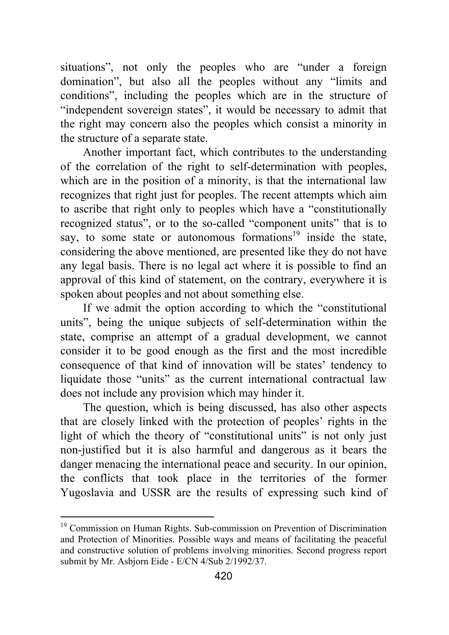situations", not only the peoples who are "under a foreign domination", but also all the peoples without any "limits and conditions", including the peoples which are in the structure of "independent sovereign states", it would be necessary to admit that the right may concern also the peoples which consist a minority in the structure of a separate state.

Another important fact, which contributes to the understanding of the correlation of the right to self-determination with peoples, which are in the position of a minority, is that the international law recognizes that right just for peoples. The recent attempts which aim to ascribe that right only to peoples which have a "constitutionally recognized status", or to the so-called "component units" that is to say, to some state or autonomous formations<sup>19</sup> inside the state, considering the above mentioned, are presented like they do not have any legal basis. There is no legal act where it is possible to find an approval of this kind of statement, on the contrary, everywhere it is spoken about peoples and not about something else.

If we admit the option according to which the "constitutional units", being the unique subjects of self-determination within the state, comprise an attempt of a gradual development, we cannot consider it to be good enough as the first and the most incredible consequence of that kind of innovation will be states' tendency to liquidate those "units" as the current international contractual law does not include any provision which may hinder it.

The question, which is being discussed, has also other aspects that are closely linked with the protection of peoples' rights in the light of which the theory of "constitutional units" is not only just non-justified but it is also harmful and dangerous as it bears the danger menacing the international peace and security. In our opinion, the conflicts that took place in the territories of the former Yugoslavia and USSR are the results of expressing such kind of

<sup>&</sup>lt;sup>19</sup> Commission on Human Rights. Sub-commission on Prevention of Discrimination and Protection of Minorities. Possible ways and means of facilitating the peaceful and constructive solution of problems involving minorities. Second progress report submit by Mr. Asbjorn Eide - E/CN 4/Sub 2/1992/37.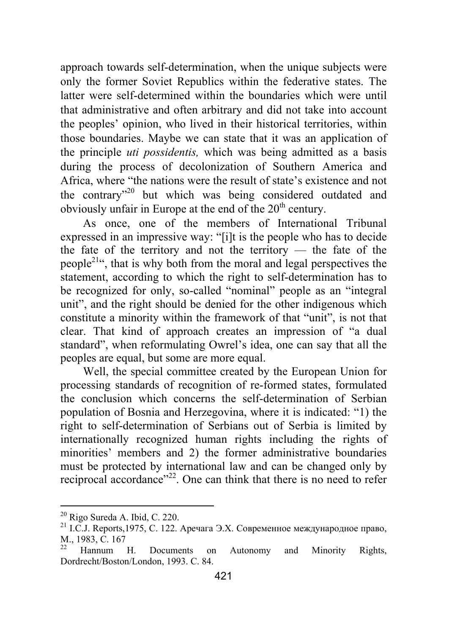approach towards self-determination, when the unique subjects were only the former Soviet Republics within the federative states. The latter were self-determined within the boundaries which were until that administrative and often arbitrary and did not take into account the peoples' opinion, who lived in their historical territories, within those boundaries. Maybe we can state that it was an application of the principle *uti possidentis,* which was being admitted as a basis during the process of decolonization of Southern America and Africa, where "the nations were the result of state's existence and not the contrary"20 but which was being considered outdated and obviously unfair in Europe at the end of the  $20<sup>th</sup>$  century.

As once, one of the members of International Tribunal expressed in an impressive way: "[i]t is the people who has to decide the fate of the territory and not the territory — the fate of the people21", that is why both from the moral and legal perspectives the statement, according to which the right to self-determination has to be recognized for only, so-called "nominal" people as an "integral unit", and the right should be denied for the other indigenous which constitute a minority within the framework of that "unit", is not that clear. That kind of approach creates an impression of "a dual standard", when reformulating Owrel's idea, one can say that all the peoples are equal, but some are more equal.

Well, the special committee created by the European Union for processing standards of recognition of re-formed states, formulated the conclusion which concerns the self-determination of Serbian population of Bosnia and Herzegovina, where it is indicated: "1) the right to self-determination of Serbians out of Serbia is limited by internationally recognized human rights including the rights of minorities' members and 2) the former administrative boundaries must be protected by international law and can be changed only by reciprocal accordance"<sup>22</sup>. One can think that there is no need to refer

<sup>&</sup>lt;sup>20</sup> Rigo Sureda A. Ibid, C. 220.<br><sup>21</sup> I.C.J. Reports,1975, C. 122. Аречага Э.Х. Современное международное право, M., 1983, C. 167<br><sup>22</sup> Hannum H. Documents on Autonomy and Minority Rights,

Dordrecht/Boston/London, 1993. C. 84.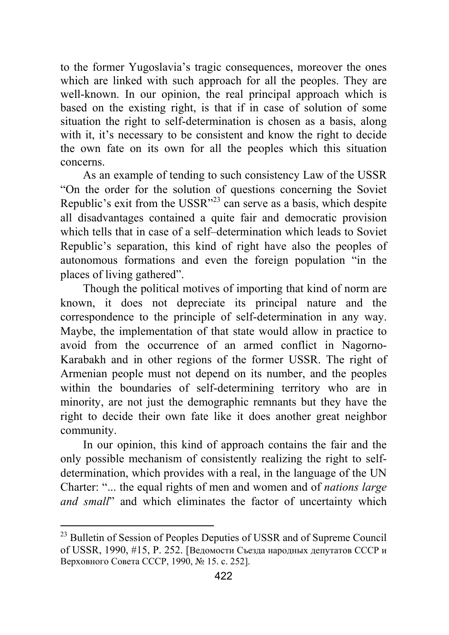to the former Yugoslavia's tragic consequences, moreover the ones which are linked with such approach for all the peoples. They are well-known. In our opinion, the real principal approach which is based on the existing right, is that if in case of solution of some situation the right to self-determination is chosen as a basis, along with it, it's necessary to be consistent and know the right to decide the own fate on its own for all the peoples which this situation concerns.

As an example of tending to such consistency Law of the USSR "On the order for the solution of questions concerning the Soviet Republic's exit from the USSR"23 can serve as a basis, which despite all disadvantages contained a quite fair and democratic provision which tells that in case of a self–determination which leads to Soviet Republic's separation, this kind of right have also the peoples of autonomous formations and even the foreign population "in the places of living gathered".

Though the political motives of importing that kind of norm are known, it does not depreciate its principal nature and the correspondence to the principle of self-determination in any way. Maybe, the implementation of that state would allow in practice to avoid from the occurrence of an armed conflict in Nagorno-Karabakh and in other regions of the former USSR. The right of Armenian people must not depend on its number, and the peoples within the boundaries of self-determining territory who are in minority, are not just the demographic remnants but they have the right to decide their own fate like it does another great neighbor community.

In our opinion, this kind of approach contains the fair and the only possible mechanism of consistently realizing the right to selfdetermination, which provides with a real, in the language of the UN Charter: "... the equal rights of men and women and of *nations large and small*" and which eliminates the factor of uncertainty which

<sup>&</sup>lt;sup>23</sup> Bulletin of Session of Peoples Deputies of USSR and of Supreme Council of USSR, 1990, #15, P. 252. [Ведомости Съезда народных депутатов СССР и Верховного Совета СССР, 1990, № 15. c. 252].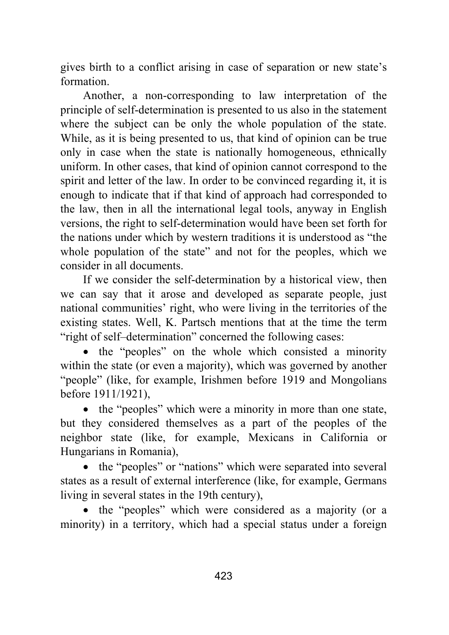gives birth to a conflict arising in case of separation or new state's formation.

Another, a non-corresponding to law interpretation of the principle of self-determination is presented to us also in the statement where the subject can be only the whole population of the state. While, as it is being presented to us, that kind of opinion can be true only in case when the state is nationally homogeneous, ethnically uniform. In other cases, that kind of opinion cannot correspond to the spirit and letter of the law. In order to be convinced regarding it, it is enough to indicate that if that kind of approach had corresponded to the law, then in all the international legal tools, anyway in English versions, the right to self-determination would have been set forth for the nations under which by western traditions it is understood as "the whole population of the state" and not for the peoples, which we consider in all documents.

If we consider the self-determination by a historical view, then we can say that it arose and developed as separate people, just national communities' right, who were living in the territories of the existing states. Well, K. Partsch mentions that at the time the term "right of self–determination" concerned the following cases:

• the "peoples" on the whole which consisted a minority within the state (or even a majority), which was governed by another "people" (like, for example, Irishmen before 1919 and Mongolians before 1911/1921),

• the "peoples" which were a minority in more than one state, but they considered themselves as a part of the peoples of the neighbor state (like, for example, Mexicans in California or Hungarians in Romania),

• the "peoples" or "nations" which were separated into several states as a result of external interference (like, for example, Germans living in several states in the 19th century),

• the "peoples" which were considered as a majority (or a minority) in a territory, which had a special status under a foreign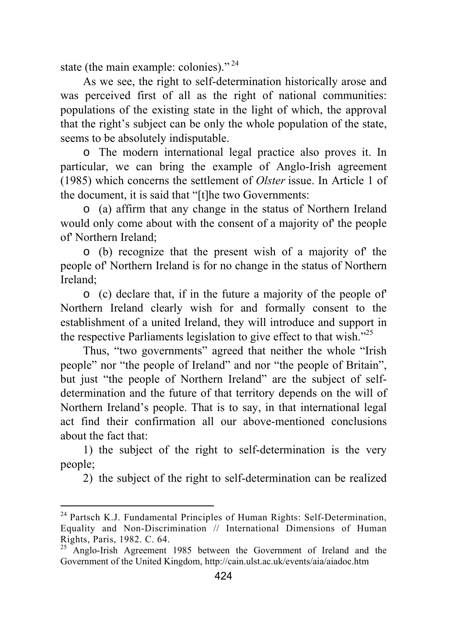state (the main example: colonies)."<sup>24</sup>

As we see, the right to self-determination historically arose and was perceived first of all as the right of national communities: populations of the existing state in the light of which, the approval that the right's subject can be only the whole population of the state, seems to be absolutely indisputable.

o The modern international legal practice also proves it. In particular, we can bring the example of Anglo-Irish agreement (1985) which concerns the settlement of *Olster* issue. In Article 1 of the document, it is said that "[t]he two Governments:

o (a) affirm that any change in the status of Northern Ireland would only come about with the consent of a majority of' the people of' Northern Ireland;

o (b) recognize that the present wish of a majority of' the people of' Northern Ireland is for no change in the status of Northern Ireland;

o (c) declare that, if in the future a majority of the people of' Northern Ireland clearly wish for and formally consent to the establishment of a united Ireland, they will introduce and support in the respective Parliaments legislation to give effect to that wish."25

Thus, "two governments" agreed that neither the whole "Irish people" nor "the people of Ireland" and nor "the people of Britain", but just "the people of Northern Ireland" are the subject of selfdetermination and the future of that territory depends on the will of Northern Ireland's people. That is to say, in that international legal act find their confirmation all our above-mentioned conclusions about the fact that:

1) the subject of the right to self-determination is the very people;

2) the subject of the right to self-determination can be realized

<sup>&</sup>lt;sup>24</sup> Partsch K.J. Fundamental Principles of Human Rights: Self-Determination, Equality and Non-Discrimination // International Dimensions of Human Rights, Paris, 1982. C. 64.

 $^{25}$  Anglo-Irish Agreement 1985 between the Government of Ireland and the Government of the United Kingdom, http://cain.ulst.ac.uk/events/aia/aiadoc.htm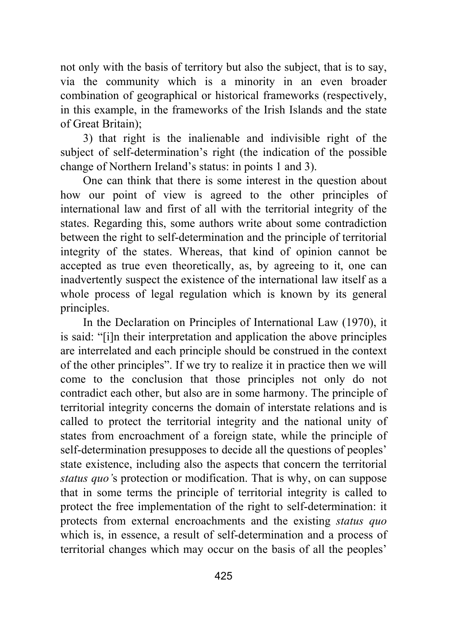not only with the basis of territory but also the subject, that is to say, via the community which is a minority in an even broader combination of geographical or historical frameworks (respectively, in this example, in the frameworks of the Irish Islands and the state of Great Britain);

3) that right is the inalienable and indivisible right of the subject of self-determination's right (the indication of the possible change of Northern Ireland's status: in points 1 and 3).

One can think that there is some interest in the question about how our point of view is agreed to the other principles of international law and first of all with the territorial integrity of the states. Regarding this, some authors write about some contradiction between the right to self-determination and the principle of territorial integrity of the states. Whereas, that kind of opinion cannot be accepted as true even theoretically, as, by agreeing to it, one can inadvertently suspect the existence of the international law itself as a whole process of legal regulation which is known by its general principles.

In the Declaration on Principles of International Law (1970), it is said: "[i]n their interpretation and application the above principles are interrelated and each principle should be construed in the context of the other principles". If we try to realize it in practice then we will come to the conclusion that those principles not only do not contradict each other, but also are in some harmony. The principle of territorial integrity concerns the domain of interstate relations and is called to protect the territorial integrity and the national unity of states from encroachment of a foreign state, while the principle of self-determination presupposes to decide all the questions of peoples' state existence, including also the aspects that concern the territorial *status quo'*s protection or modification. That is why, on can suppose that in some terms the principle of territorial integrity is called to protect the free implementation of the right to self-determination: it protects from external encroachments and the existing *status quo*  which is, in essence, a result of self-determination and a process of territorial changes which may occur on the basis of all the peoples'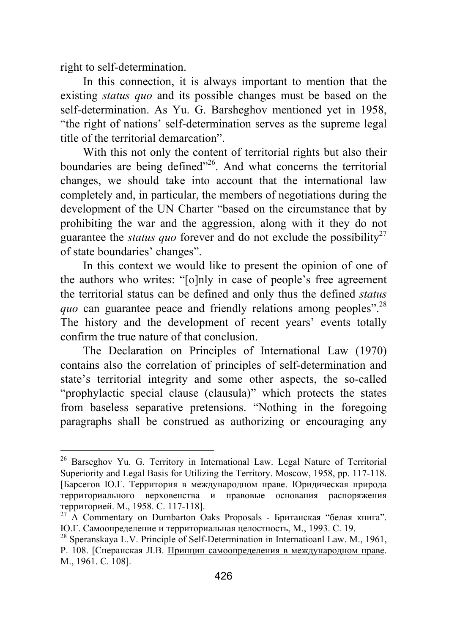right to self-determination.

In this connection, it is always important to mention that the existing *status quo* and its possible changes must be based on the self-determination. As Yu. G. Barsheghov mentioned yet in 1958, "the right of nations' self-determination serves as the supreme legal title of the territorial demarcation".

With this not only the content of territorial rights but also their boundaries are being defined<sup>"26</sup>. And what concerns the territorial changes, we should take into account that the international law completely and, in particular, the members of negotiations during the development of the UN Charter "based on the circumstance that by prohibiting the war and the aggression, along with it they do not guarantee the *status quo* forever and do not exclude the possibility<sup>27</sup> of state boundaries' changes".

In this context we would like to present the opinion of one of the authors who writes: "[o]nly in case of people's free agreement the territorial status can be defined and only thus the defined *status quo* can guarantee peace and friendly relations among peoples".<sup>28</sup> The history and the development of recent years' events totally confirm the true nature of that conclusion.

The Declaration on Principles of International Law (1970) contains also the correlation of principles of self-determination and state's territorial integrity and some other aspects, the so-called "prophylactic special clause (clausula)" which protects the states from baseless separative pretensions. "Nothing in the foregoing paragraphs shall be construed as authorizing or encouraging any

<sup>&</sup>lt;sup>26</sup> Barseghov Yu. G. Territory in International Law. Legal Nature of Territorial Superiority and Legal Basis for Utilizing the Territory. Moscow, 1958, pp. 117-118. [Барсегов Ю.Г. Территория в международном праве. Юридическая природа территориального верховенства и правовые основания распоряжения территорией. М., 1958. С. 117-118]. 27 A Commentary on Dumbarton Oaks Proposals - Британская "белая книга".

<sup>Ю</sup>.Г. Самоопределение <sup>и</sup> территориальная целостность, М., 1993. С. 19. 28 Speranskaya L.V. Principle of Self-Determination in Internatioanl Law. M., 1961,

P. 108. [Сперанская Л.В. Принцип самоопределения в международном праве. М., 1961. С. 108].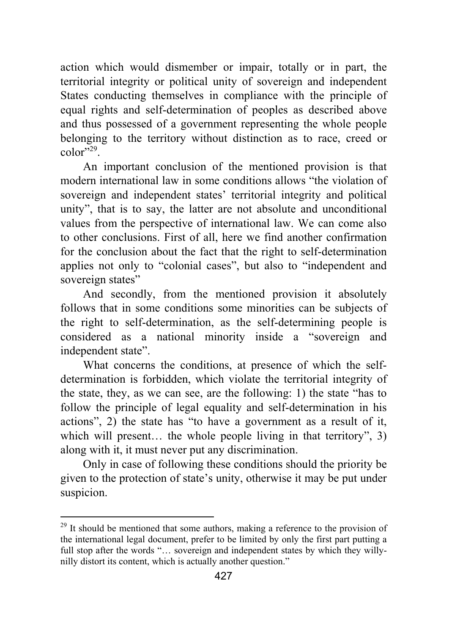action which would dismember or impair, totally or in part, the territorial integrity or political unity of sovereign and independent States conducting themselves in compliance with the principle of equal rights and self-determination of peoples as described above and thus possessed of a government representing the whole people belonging to the territory without distinction as to race, creed or  $color^{329}$ 

An important conclusion of the mentioned provision is that modern international law in some conditions allows "the violation of sovereign and independent states' territorial integrity and political unity", that is to say, the latter are not absolute and unconditional values from the perspective of international law. We can come also to other conclusions. First of all, here we find another confirmation for the conclusion about the fact that the right to self-determination applies not only to "colonial cases", but also to "independent and sovereign states"

And secondly, from the mentioned provision it absolutely follows that in some conditions some minorities can be subjects of the right to self-determination, as the self-determining people is considered as a national minority inside a "sovereign and independent state".

What concerns the conditions, at presence of which the selfdetermination is forbidden, which violate the territorial integrity of the state, they, as we can see, are the following: 1) the state "has to follow the principle of legal equality and self-determination in his actions", 2) the state has "to have a government as a result of it, which will present... the whole people living in that territory", 3) along with it, it must never put any discrimination.

Only in case of following these conditions should the priority be given to the protection of state's unity, otherwise it may be put under suspicion.

<sup>&</sup>lt;sup>29</sup> It should be mentioned that some authors, making a reference to the provision of the international legal document, prefer to be limited by only the first part putting a full stop after the words "… sovereign and independent states by which they willynilly distort its content, which is actually another question."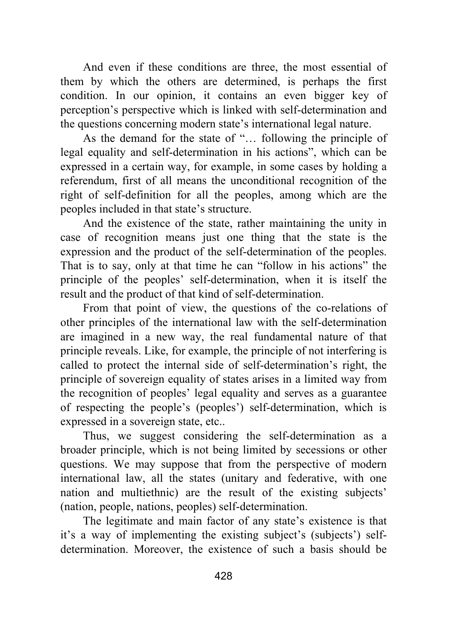And even if these conditions are three, the most essential of them by which the others are determined, is perhaps the first condition. In our opinion, it contains an even bigger key of perception's perspective which is linked with self-determination and the questions concerning modern state's international legal nature.

As the demand for the state of "… following the principle of legal equality and self-determination in his actions", which can be expressed in a certain way, for example, in some cases by holding a referendum, first of all means the unconditional recognition of the right of self-definition for all the peoples, among which are the peoples included in that state's structure.

And the existence of the state, rather maintaining the unity in case of recognition means just one thing that the state is the expression and the product of the self-determination of the peoples. That is to say, only at that time he can "follow in his actions" the principle of the peoples' self-determination, when it is itself the result and the product of that kind of self-determination.

From that point of view, the questions of the co-relations of other principles of the international law with the self-determination are imagined in a new way, the real fundamental nature of that principle reveals. Like, for example, the principle of not interfering is called to protect the internal side of self-determination's right, the principle of sovereign equality of states arises in a limited way from the recognition of peoples' legal equality and serves as a guarantee of respecting the people's (peoples') self-determination, which is expressed in a sovereign state, etc..

Thus, we suggest considering the self-determination as a broader principle, which is not being limited by secessions or other questions. We may suppose that from the perspective of modern international law, all the states (unitary and federative, with one nation and multiethnic) are the result of the existing subjects' (nation, people, nations, peoples) self-determination.

The legitimate and main factor of any state's existence is that it's a way of implementing the existing subject's (subjects') selfdetermination. Moreover, the existence of such a basis should be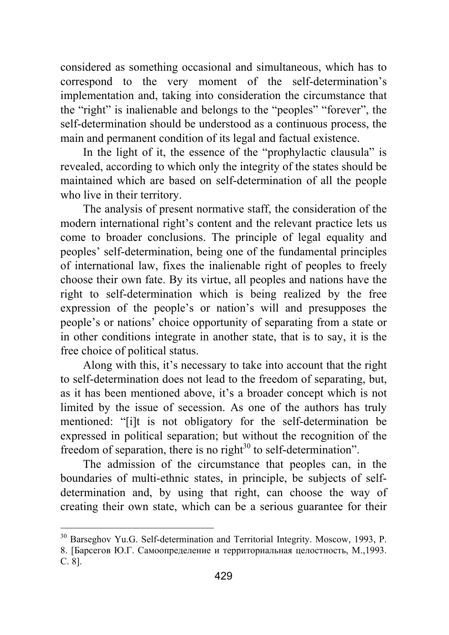considered as something occasional and simultaneous, which has to correspond to the very moment of the self-determination's implementation and, taking into consideration the circumstance that the "right" is inalienable and belongs to the "peoples" "forever", the self-determination should be understood as a continuous process, the main and permanent condition of its legal and factual existence.

In the light of it, the essence of the "prophylactic clausula" is revealed, according to which only the integrity of the states should be maintained which are based on self-determination of all the people who live in their territory.

The analysis of present normative staff, the consideration of the modern international right's content and the relevant practice lets us come to broader conclusions. The principle of legal equality and peoples' self-determination, being one of the fundamental principles of international law, fixes the inalienable right of peoples to freely choose their own fate. By its virtue, all peoples and nations have the right to self-determination which is being realized by the free expression of the people's or nation's will and presupposes the people's or nations' choice opportunity of separating from a state or in other conditions integrate in another state, that is to say, it is the free choice of political status.

Along with this, it's necessary to take into account that the right to self-determination does not lead to the freedom of separating, but, as it has been mentioned above, it's a broader concept which is not limited by the issue of secession. As one of the authors has truly mentioned: "[i]t is not obligatory for the self-determination be expressed in political separation; but without the recognition of the freedom of separation, there is no right $30$  to self-determination".

The admission of the circumstance that peoples can, in the boundaries of multi-ethnic states, in principle, be subjects of selfdetermination and, by using that right, can choose the way of creating their own state, which can be a serious guarantee for their

<sup>&</sup>lt;sup>30</sup> Barseghov Yu.G. Self-determination and Territorial Integrity. Moscow, 1993, P. 8. [Барсегов Ю.Г. Самоопределение и территориальная целостность, М.,1993. С. 8].